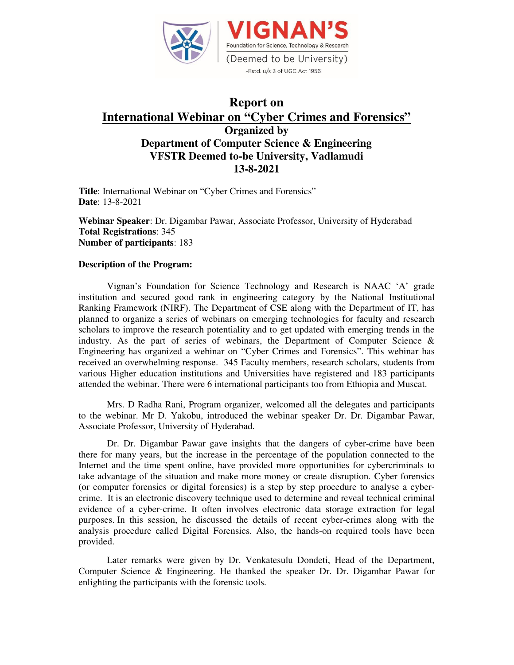

## **Report on International Webinar on "Cyber Crimes and Forensics" Organized by Department of Computer Science & Engineering VFSTR Deemed to-be University, Vadlamudi 13-8-2021**

**Title**: International Webinar on "Cyber Crimes and Forensics" **Date**: 13-8-2021

**Webinar Speaker**: Dr. Digambar Pawar, Associate Professor, University of Hyderabad **Total Registrations**: 345 **Number of participants**: 183

## **Description of the Program:**

Vignan's Foundation for Science Technology and Research is NAAC 'A' grade institution and secured good rank in engineering category by the National Institutional Ranking Framework (NIRF). The Department of CSE along with the Department of IT, has planned to organize a series of webinars on emerging technologies for faculty and research scholars to improve the research potentiality and to get updated with emerging trends in the industry. As the part of series of webinars, the Department of Computer Science  $\&$ Engineering has organized a webinar on "Cyber Crimes and Forensics". This webinar has received an overwhelming response. 345 Faculty members, research scholars, students from various Higher education institutions and Universities have registered and 183 participants attended the webinar. There were 6 international participants too from Ethiopia and Muscat.

Mrs. D Radha Rani, Program organizer, welcomed all the delegates and participants to the webinar. Mr D. Yakobu, introduced the webinar speaker Dr. Dr. Digambar Pawar, Associate Professor, University of Hyderabad.

Dr. Dr. Digambar Pawar gave insights that the dangers of cyber-crime have been there for many years, but the increase in the percentage of the population connected to the Internet and the time spent online, have provided more opportunities for cybercriminals to take advantage of the situation and make more money or create disruption. Cyber forensics (or computer forensics or digital forensics) is a step by step procedure to analyse a cybercrime. It is an electronic discovery technique used to determine and reveal technical criminal evidence of a cyber-crime. It often involves electronic data storage extraction for legal purposes. In this session, he discussed the details of recent cyber-crimes along with the analysis procedure called Digital Forensics. Also, the hands-on required tools have been provided.

Later remarks were given by Dr. Venkatesulu Dondeti, Head of the Department, Computer Science & Engineering. He thanked the speaker Dr. Dr. Digambar Pawar for enlighting the participants with the forensic tools.